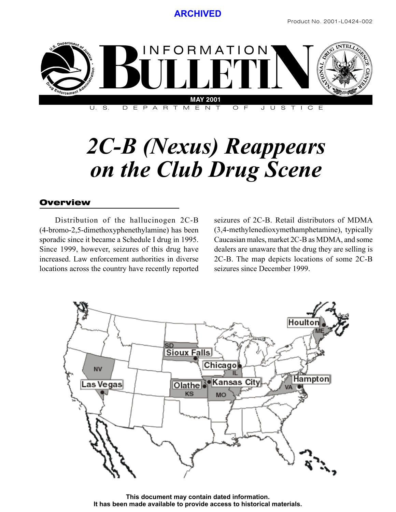

*2C-B (Nexus) Reappears on the Club Drug Scene*

#### Overview

Distribution of the hallucinogen 2C-B (4-bromo-2,5-dimethoxyphenethylamine) has been sporadic since it became a Schedule I drug in 1995. Since 1999, however, seizures of this drug have increased. Law enforcement authorities in diverse locations across the country have recently reported seizures of 2C-B. Retail distributors of MDMA (3,4-methylenedioxymethamphetamine), typically Caucasian males, market 2C-B as MDMA, and some dealers are unaware that the drug they are selling is 2C-B. The map depicts locations of some 2C-B seizures since December 1999.



**This document may contain dated information. It has been made available to provide access to historical materials.**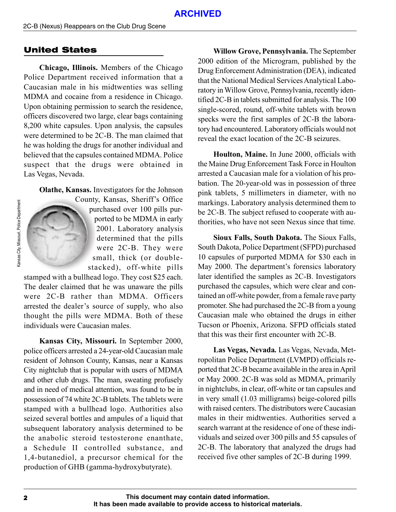## United States

**Chicago, Illinois.** Members of the Chicago Police Department received information that a Caucasian male in his midtwenties was selling MDMA and cocaine from a residence in Chicago. Upon obtaining permission to search the residence, officers discovered two large, clear bags containing 8,200 white capsules. Upon analysis, the capsules were determined to be 2C-B. The man claimed that he was holding the drugs for another individual and believed that the capsules contained MDMA. Police suspect that the drugs were obtained in Las Vegas, Nevada.

**Olathe, Kansas.** Investigators for the Johnson



County, Kansas, Sheriff's Office purchased over 100 pills purported to be MDMA in early 2001. Laboratory analysis determined that the pills were 2C-B. They were small, thick (or doublestacked), off-white pills

stamped with a bullhead logo. They cost \$25 each. The dealer claimed that he was unaware the pills were 2C-B rather than MDMA. Officers arrested the dealer's source of supply, who also thought the pills were MDMA. Both of these individuals were Caucasian males.

**Kansas City, Missouri.** In September 2000, police officers arrested a 24-year-old Caucasian male resident of Johnson County, Kansas, near a Kansas City nightclub that is popular with users of MDMA and other club drugs. The man, sweating profusely and in need of medical attention, was found to be in possession of 74 white 2C-B tablets. The tablets were stamped with a bullhead logo. Authorities also seized several bottles and ampules of a liquid that subsequent laboratory analysis determined to be the anabolic steroid testosterone enanthate, a Schedule II controlled substance, and 1,4-butanediol, a precursor chemical for the production of GHB (gamma-hydroxybutyrate).

**Willow Grove, Pennsylvania.** The September 2000 edition of the Microgram, published by the Drug Enforcement Administration (DEA), indicated that the National Medical Services Analytical Laboratory in Willow Grove, Pennsylvania, recently identified 2C-B in tablets submitted for analysis. The 100 single-scored, round, off-white tablets with brown specks were the first samples of 2C-B the laboratory had encountered. Laboratory officials would not reveal the exact location of the 2C-B seizures.

**Houlton, Maine.** In June 2000, officials with the Maine Drug Enforcement Task Force in Houlton arrested a Caucasian male for a violation of his probation. The 20-year-old was in possession of three pink tablets, 5 millimeters in diameter, with no markings. Laboratory analysis determined them to be 2C-B. The subject refused to cooperate with authorities, who have not seen Nexus since that time.

**Sioux Falls, South Dakota.** The Sioux Falls, South Dakota, Police Department (SFPD) purchased 10 capsules of purported MDMA for \$30 each in May 2000. The department's forensics laboratory later identified the samples as 2C-B. Investigators purchased the capsules, which were clear and contained an off-white powder, from a female rave party promoter. She had purchased the 2C-B from a young Caucasian male who obtained the drugs in either Tucson or Phoenix, Arizona. SFPD officials stated that this was their first encounter with 2C-B.

**Las Vegas, Nevada***.* Las Vegas, Nevada, Metropolitan Police Department (LVMPD) officials reported that 2C-B became available in the area in April or May 2000. 2C-B was sold as MDMA, primarily in nightclubs, in clear, off-white or tan capsules and in very small (1.03 milligrams) beige-colored pills with raised centers. The distributors were Caucasian males in their midtwenties. Authorities served a search warrant at the residence of one of these individuals and seized over 300 pills and 55 capsules of 2C-B. The laboratory that analyzed the drugs had received five other samples of 2C-B during 1999.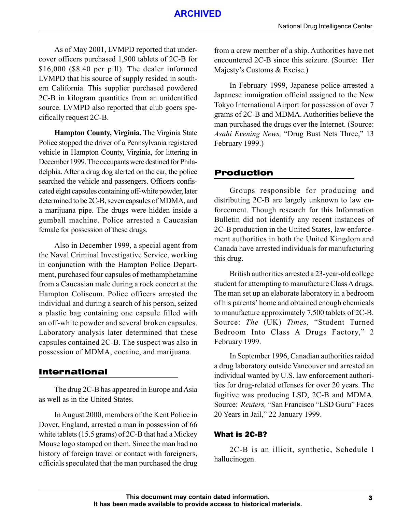## **ARCHIVED**

As of May 2001, LVMPD reported that undercover officers purchased 1,900 tablets of 2C-B for \$16,000 (\$8.40 per pill). The dealer informed LVMPD that his source of supply resided in southern California. This supplier purchased powdered 2C-B in kilogram quantities from an unidentified source. LVMPD also reported that club goers specifically request 2C-B.

**Hampton County, Virginia.** The Virginia State Police stopped the driver of a Pennsylvania registered vehicle in Hampton County, Virginia, for littering in December 1999. The occupants were destined for Philadelphia. After a drug dog alerted on the car, the police searched the vehicle and passengers. Officers confiscated eight capsules containing off-white powder, later determined to be 2C-B, seven capsules of MDMA, and a marijuana pipe. The drugs were hidden inside a gumball machine. Police arrested a Caucasian female for possession of these drugs.

Also in December 1999, a special agent from the Naval Criminal Investigative Service, working in conjunction with the Hampton Police Department, purchased four capsules of methamphetamine from a Caucasian male during a rock concert at the Hampton Coliseum. Police officers arrested the individual and during a search of his person, seized a plastic bag containing one capsule filled with an off-white powder and several broken capsules. Laboratory analysis later determined that these capsules contained 2C-B. The suspect was also in possession of MDMA, cocaine, and marijuana.

## International

The drug 2C-B has appeared in Europe and Asia as well as in the United States.

In August 2000, members of the Kent Police in Dover, England, arrested a man in possession of 66 white tablets (15.5 grams) of 2C-B that had a Mickey Mouse logo stamped on them. Since the man had no history of foreign travel or contact with foreigners, officials speculated that the man purchased the drug from a crew member of a ship. Authorities have not encountered 2C-B since this seizure. (Source: Her Majesty's Customs & Excise.)

In February 1999, Japanese police arrested a Japanese immigration official assigned to the New Tokyo International Airport for possession of over 7 grams of 2C-B and MDMA. Authorities believe the man purchased the drugs over the Internet. (Source: *Asahi Evening News,* "Drug Bust Nets Three," 13 February 1999.)

## Production

Groups responsible for producing and distributing 2C-B are largely unknown to law enforcement. Though research for this Information Bulletin did not identify any recent instances of 2C-B production in the United States, law enforcement authorities in both the United Kingdom and Canada have arrested individuals for manufacturing this drug.

British authorities arrested a 23-year-old college student for attempting to manufacture Class A drugs. The man set up an elaborate laboratory in a bedroom of his parents' home and obtained enough chemicals to manufacture approximately 7,500 tablets of 2C-B. Source: *The* (UK) *Times,* "Student Turned Bedroom Into Class A Drugs Factory," 2 February 1999.

In September 1996, Canadian authorities raided a drug laboratory outside Vancouver and arrested an individual wanted by U.S. law enforcement authorities for drug-related offenses for over 20 years. The fugitive was producing LSD, 2C-B and MDMA. Source: *Reuters,* "San Francisco "LSD Guru" Faces 20 Years in Jail," 22 January 1999.

## What is 2C-B?

2C-B is an illicit, synthetic, Schedule I hallucinogen.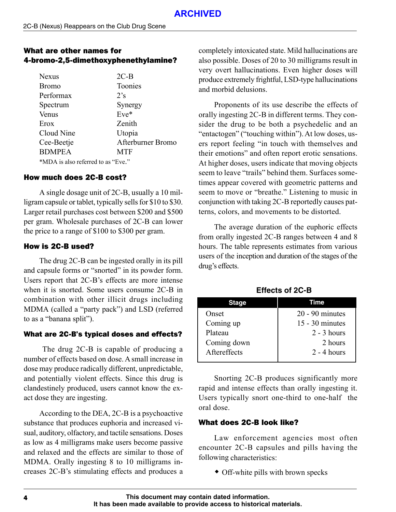## What are other names for 4-bromo-2,5-dimethoxyphenethylamine?

| <b>Nexus</b>                       | $2C-B$            |  |
|------------------------------------|-------------------|--|
| <b>Bromo</b>                       | Toonies           |  |
| Performax                          | 2's               |  |
| Spectrum                           | Synergy           |  |
| Venus                              | $Eve^*$           |  |
| Erox                               | Zenith            |  |
| Cloud Nine                         | Utopia            |  |
| Cee-Beetje                         | Afterburner Bromo |  |
| <b>BDMPEA</b>                      | <b>MTF</b>        |  |
| *MDA is also referred to as "Eve." |                   |  |

#### How much does 2C-B cost?

A single dosage unit of 2C-B, usually a 10 milligram capsule or tablet, typically sells for \$10 to \$30. Larger retail purchases cost between \$200 and \$500 per gram. Wholesale purchases of 2C-B can lower the price to a range of \$100 to \$300 per gram.

## How is 2C-B used?

The drug 2C-B can be ingested orally in its pill and capsule forms or "snorted" in its powder form. Users report that 2C-B's effects are more intense when it is snorted. Some users consume 2C-B in combination with other illicit drugs including MDMA (called a "party pack") and LSD (referred to as a "banana split").

## What are 2C-B's typical doses and effects?

 The drug 2C-B is capable of producing a number of effects based on dose. A small increase in dose may produce radically different, unpredictable, and potentially violent effects. Since this drug is clandestinely produced, users cannot know the exact dose they are ingesting.

According to the DEA, 2C-B is a psychoactive substance that produces euphoria and increased visual, auditory, olfactory, and tactile sensations. Doses as low as 4 milligrams make users become passive and relaxed and the effects are similar to those of MDMA. Orally ingesting 8 to 10 milligrams increases 2C-B's stimulating effects and produces a completely intoxicated state. Mild hallucinations are also possible. Doses of 20 to 30 milligrams result in very overt hallucinations. Even higher doses will produce extremely frightful, LSD-type hallucinations and morbid delusions.

Proponents of its use describe the effects of orally ingesting 2C-B in different terms. They consider the drug to be both a psychedelic and an "entactogen" ("touching within"). At low doses, users report feeling "in touch with themselves and their emotions" and often report erotic sensations. At higher doses, users indicate that moving objects seem to leave "trails" behind them. Surfaces sometimes appear covered with geometric patterns and seem to move or "breathe." Listening to music in conjunction with taking 2C-B reportedly causes patterns, colors, and movements to be distorted.

The average duration of the euphoric effects from orally ingested 2C-B ranges between 4 and 8 hours. The table represents estimates from various users of the inception and duration of the stages of the drug's effects.

**Effects of 2C-B**

| Stage        | Time              |  |
|--------------|-------------------|--|
| Onset        | $20 - 90$ minutes |  |
| Coming up    | $15 - 30$ minutes |  |
| Plateau      | $2 - 3$ hours     |  |
| Coming down  | 2 hours           |  |
| Aftereffects | $2 - 4$ hours     |  |
|              |                   |  |

Snorting 2C-B produces significantly more rapid and intense effects than orally ingesting it. Users typically snort one-third to one-half the oral dose.

#### What does 2C-B look like?

Law enforcement agencies most often encounter 2C-B capsules and pills having the following characteristics:

Off-white pills with brown specks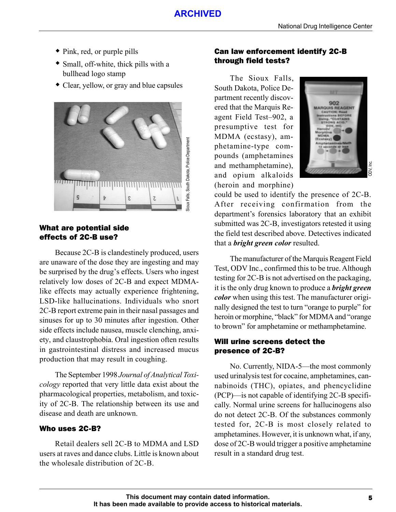- Pink, red, or purple pills
- Small, off-white, thick pills with a bullhead logo stamp
- Clear, yellow, or gray and blue capsules



#### What are potential side effects of 2C-B use?

Because 2C-B is clandestinely produced, users are unaware of the dose they are ingesting and may be surprised by the drug's effects. Users who ingest relatively low doses of 2C-B and expect MDMAlike effects may actually experience frightening, LSD-like hallucinations. Individuals who snort 2C-B report extreme pain in their nasal passages and sinuses for up to 30 minutes after ingestion. Other side effects include nausea, muscle clenching, anxiety, and claustrophobia. Oral ingestion often results in gastrointestinal distress and increased mucus production that may result in coughing.

The September 1998 *Journal of Analytical Toxicology* reported that very little data exist about the pharmacological properties, metabolism, and toxicity of 2C-B. The relationship between its use and disease and death are unknown.

#### Who uses 2C-B?

Retail dealers sell 2C-B to MDMA and LSD users at raves and dance clubs. Little is known about the wholesale distribution of 2C-B.

### Can law enforcement identify 2C-B through field tests?

The Sioux Falls, South Dakota, Police Department recently discovered that the Marquis Reagent Field Test–902, a presumptive test for MDMA (ecstasy), amphetamine-type compounds (amphetamines and methamphetamine), and opium alkaloids (heroin and morphine)



could be used to identify the presence of 2C-B. After receiving confirmation from the department's forensics laboratory that an exhibit submitted was 2C-B, investigators retested it using the field test described above. Detectives indicated that a *bright green color* resulted.

The manufacturer of the Marquis Reagent Field Test, ODV Inc., confirmed this to be true. Although testing for 2C-B is not advertised on the packaging, it is the only drug known to produce a *bright green color* when using this test. The manufacturer originally designed the test to turn "orange to purple" for heroin or morphine, "black" for MDMA and "orange to brown" for amphetamine or methamphetamine.

#### Will urine screens detect the presence of 2C-B?

No. Currently, NIDA-5—the most commonly used urinalysis test for cocaine, amphetamines, cannabinoids (THC), opiates, and phencyclidine (PCP)—is not capable of identifying 2C-B specifically. Normal urine screens for hallucinogens also do not detect 2C-B. Of the substances commonly tested for, 2C-B is most closely related to amphetamines. However, it is unknown what, if any, dose of 2C-B would trigger a positive amphetamine result in a standard drug test.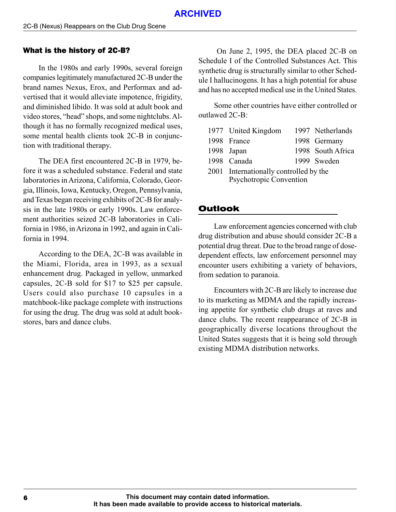#### What is the history of 2C-B?

In the 1980s and early 1990s, several foreign companies legitimately manufactured 2C-B under the brand names Nexus, Erox, and Performax and advertised that it would alleviate impotence, frigidity, and diminished libido. It was sold at adult book and video stores, "head" shops, and some nightclubs. Although it has no formally recognized medical uses, some mental health clients took 2C-B in conjunction with traditional therapy.

The DEA first encountered 2C-B in 1979, before it was a scheduled substance. Federal and state laboratories in Arizona, California, Colorado, Georgia, Illinois, Iowa, Kentucky, Oregon, Pennsylvania, and Texas began receiving exhibits of 2C-B for analysis in the late 1980s or early 1990s. Law enforcement authorities seized 2C-B laboratories in California in 1986, in Arizona in 1992, and again in California in 1994.

According to the DEA, 2C-B was available in the Miami, Florida, area in 1993, as a sexual enhancement drug. Packaged in yellow, unmarked capsules, 2C-B sold for \$17 to \$25 per capsule. Users could also purchase 10 capsules in a matchbook-like package complete with instructions for using the drug. The drug was sold at adult bookstores, bars and dance clubs.

 On June 2, 1995, the DEA placed 2C-B on Schedule I of the Controlled Substances Act. This synthetic drug is structurally similar to other Schedule I hallucinogens. It has a high potential for abuse and has no accepted medical use in the United States.

Some other countries have either controlled or outlawed 2C-B:

| 1977 United Kingdom                                               |  | 1997 Netherlands  |
|-------------------------------------------------------------------|--|-------------------|
| 1998 France                                                       |  | 1998 Germany      |
| 1998 Japan                                                        |  | 1998 South Africa |
| 1998 Canada                                                       |  | 1999 Sweden       |
| 2001 Internationally controlled by the<br>Psychotropic Convention |  |                   |

### Outlook

Law enforcement agencies concerned with club drug distribution and abuse should consider 2C-B a potential drug threat. Due to the broad range of dosedependent effects, law enforcement personnel may encounter users exhibiting a variety of behaviors, from sedation to paranoia.

Encounters with 2C-B are likely to increase due to its marketing as MDMA and the rapidly increasing appetite for synthetic club drugs at raves and dance clubs. The recent reappearance of 2C-B in geographically diverse locations throughout the United States suggests that it is being sold through existing MDMA distribution networks.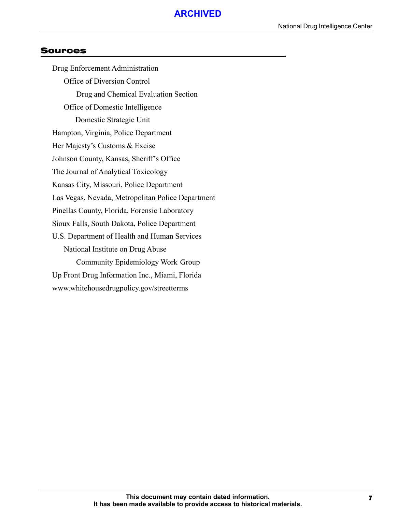#### Sources

Drug Enforcement Administration Office of Diversion Control Drug and Chemical Evaluation Section Office of Domestic Intelligence Domestic Strategic Unit Hampton, Virginia, Police Department Her Majesty's Customs & Excise Johnson County, Kansas, Sheriff's Office The Journal of Analytical Toxicology Kansas City, Missouri, Police Department Las Vegas, Nevada, Metropolitan Police Department Pinellas County, Florida, Forensic Laboratory Sioux Falls, South Dakota, Police Department U.S. Department of Health and Human Services National Institute on Drug Abuse Community Epidemiology Work Group Up Front Drug Information Inc., Miami, Florida www.whitehousedrugpolicy.gov/streetterms